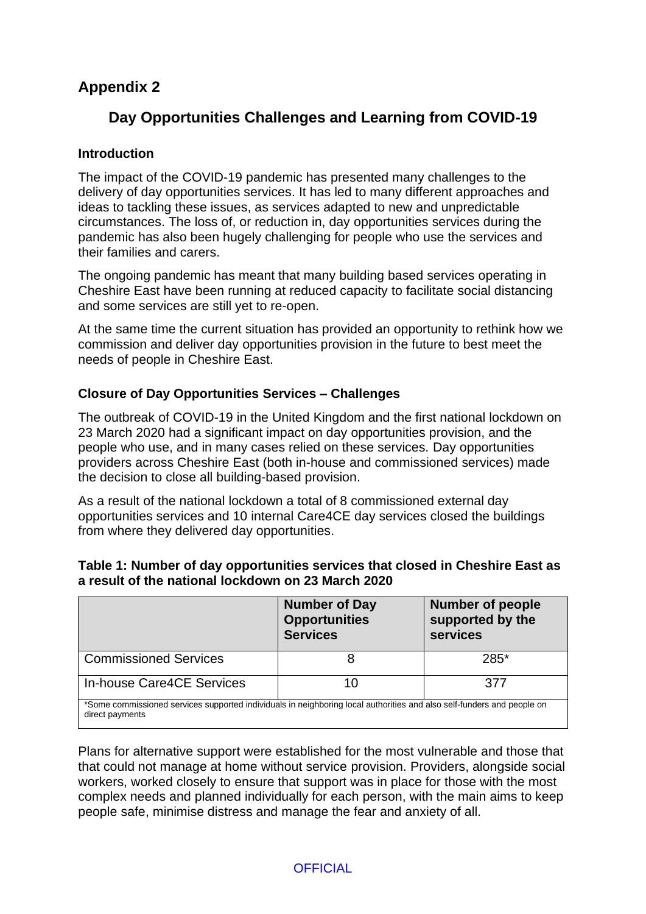# **Appendix 2**

# **Day Opportunities Challenges and Learning from COVID-19**

### **Introduction**

The impact of the COVID-19 pandemic has presented many challenges to the delivery of day opportunities services. It has led to many different approaches and ideas to tackling these issues, as services adapted to new and unpredictable circumstances. The loss of, or reduction in, day opportunities services during the pandemic has also been hugely challenging for people who use the services and their families and carers.

The ongoing pandemic has meant that many building based services operating in Cheshire East have been running at reduced capacity to facilitate social distancing and some services are still yet to re-open.

At the same time the current situation has provided an opportunity to rethink how we commission and deliver day opportunities provision in the future to best meet the needs of people in Cheshire East.

### **Closure of Day Opportunities Services – Challenges**

The outbreak of COVID-19 in the United Kingdom and the first national lockdown on 23 March 2020 had a significant impact on day opportunities provision, and the people who use, and in many cases relied on these services. Day opportunities providers across Cheshire East (both in-house and commissioned services) made the decision to close all building-based provision.

As a result of the national lockdown a total of 8 commissioned external day opportunities services and 10 internal Care4CE day services closed the buildings from where they delivered day opportunities.

|                              | <b>Number of Day</b><br><b>Opportunities</b><br><b>Services</b> | <b>Number of people</b><br>supported by the<br>services |
|------------------------------|-----------------------------------------------------------------|---------------------------------------------------------|
| <b>Commissioned Services</b> |                                                                 | 285*                                                    |
| In-house Care4CE Services    | 10                                                              | 377                                                     |

### **Table 1: Number of day opportunities services that closed in Cheshire East as a result of the national lockdown on 23 March 2020**

\*Some commissioned services supported individuals in neighboring local authorities and also self-funders and people on direct payments

Plans for alternative support were established for the most vulnerable and those that that could not manage at home without service provision. Providers, alongside social workers, worked closely to ensure that support was in place for those with the most complex needs and planned individually for each person, with the main aims to keep people safe, minimise distress and manage the fear and anxiety of all.

## **OFFICIAL**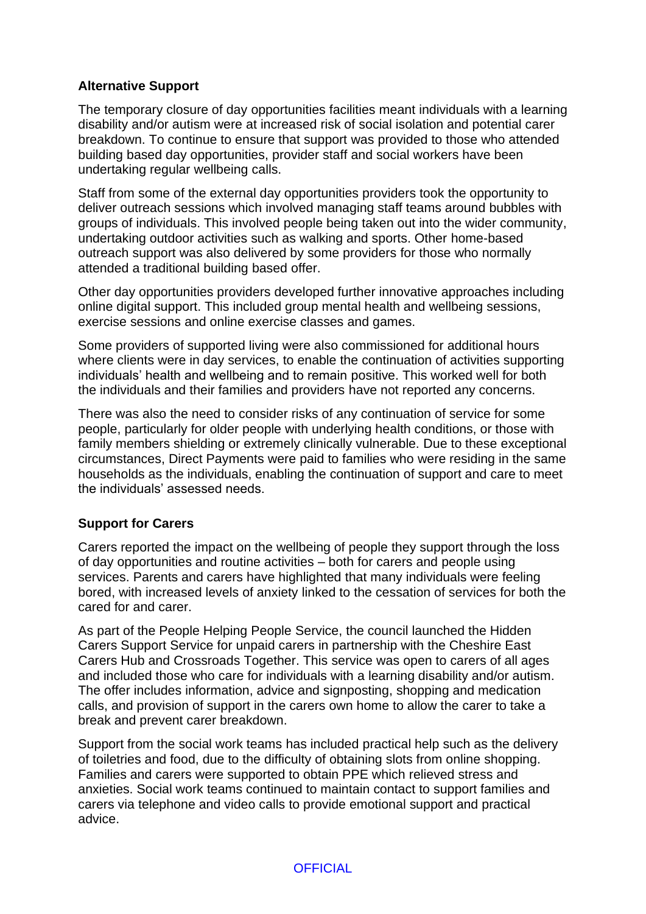## **Alternative Support**

The temporary closure of day opportunities facilities meant individuals with a learning disability and/or autism were at increased risk of social isolation and potential carer breakdown. To continue to ensure that support was provided to those who attended building based day opportunities, provider staff and social workers have been undertaking regular wellbeing calls.

Staff from some of the external day opportunities providers took the opportunity to deliver outreach sessions which involved managing staff teams around bubbles with groups of individuals. This involved people being taken out into the wider community, undertaking outdoor activities such as walking and sports. Other home-based outreach support was also delivered by some providers for those who normally attended a traditional building based offer.

Other day opportunities providers developed further innovative approaches including online digital support. This included group mental health and wellbeing sessions, exercise sessions and online exercise classes and games.

Some providers of supported living were also commissioned for additional hours where clients were in day services, to enable the continuation of activities supporting individuals' health and wellbeing and to remain positive. This worked well for both the individuals and their families and providers have not reported any concerns.

There was also the need to consider risks of any continuation of service for some people, particularly for older people with underlying health conditions, or those with family members shielding or extremely clinically vulnerable. Due to these exceptional circumstances, Direct Payments were paid to families who were residing in the same households as the individuals, enabling the continuation of support and care to meet the individuals' assessed needs.

# **Support for Carers**

Carers reported the impact on the wellbeing of people they support through the loss of day opportunities and routine activities – both for carers and people using services. Parents and carers have highlighted that many individuals were feeling bored, with increased levels of anxiety linked to the cessation of services for both the cared for and carer.

As part of the People Helping People Service, the council launched the Hidden Carers Support Service for unpaid carers in partnership with the Cheshire East Carers Hub and Crossroads Together. This service was open to carers of all ages and included those who care for individuals with a learning disability and/or autism. The offer includes information, advice and signposting, shopping and medication calls, and provision of support in the carers own home to allow the carer to take a break and prevent carer breakdown.

Support from the social work teams has included practical help such as the delivery of toiletries and food, due to the difficulty of obtaining slots from online shopping. Families and carers were supported to obtain PPE which relieved stress and anxieties. Social work teams continued to maintain contact to support families and carers via telephone and video calls to provide emotional support and practical advice.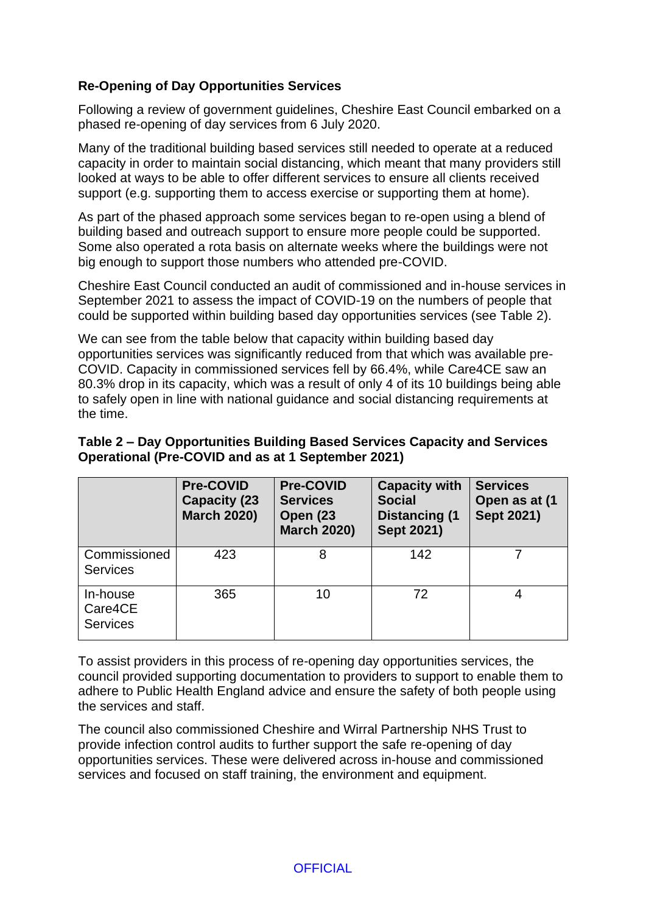## **Re-Opening of Day Opportunities Services**

Following a review of government guidelines, Cheshire East Council embarked on a phased re-opening of day services from 6 July 2020.

Many of the traditional building based services still needed to operate at a reduced capacity in order to maintain social distancing, which meant that many providers still looked at ways to be able to offer different services to ensure all clients received support (e.g. supporting them to access exercise or supporting them at home).

As part of the phased approach some services began to re-open using a blend of building based and outreach support to ensure more people could be supported. Some also operated a rota basis on alternate weeks where the buildings were not big enough to support those numbers who attended pre-COVID.

Cheshire East Council conducted an audit of commissioned and in-house services in September 2021 to assess the impact of COVID-19 on the numbers of people that could be supported within building based day opportunities services (see Table 2).

We can see from the table below that capacity within building based day opportunities services was significantly reduced from that which was available pre-COVID. Capacity in commissioned services fell by 66.4%, while Care4CE saw an 80.3% drop in its capacity, which was a result of only 4 of its 10 buildings being able to safely open in line with national guidance and social distancing requirements at the time.

### **Table 2 – Day Opportunities Building Based Services Capacity and Services Operational (Pre-COVID and as at 1 September 2021)**

|                                        | <b>Pre-COVID</b><br><b>Capacity (23)</b><br><b>March 2020)</b> | <b>Pre-COVID</b><br><b>Services</b><br><b>Open (23)</b><br><b>March 2020)</b> | <b>Capacity with</b><br><b>Social</b><br><b>Distancing (1)</b><br>Sept 2021) | <b>Services</b><br>Open as at (1<br><b>Sept 2021)</b> |
|----------------------------------------|----------------------------------------------------------------|-------------------------------------------------------------------------------|------------------------------------------------------------------------------|-------------------------------------------------------|
| Commissioned<br><b>Services</b>        | 423                                                            | 8                                                                             | 142                                                                          |                                                       |
| In-house<br>Care4CE<br><b>Services</b> | 365                                                            | 10                                                                            | 72                                                                           |                                                       |

To assist providers in this process of re-opening day opportunities services, the council provided supporting documentation to providers to support to enable them to adhere to Public Health England advice and ensure the safety of both people using the services and staff.

The council also commissioned Cheshire and Wirral Partnership NHS Trust to provide infection control audits to further support the safe re-opening of day opportunities services. These were delivered across in-house and commissioned services and focused on staff training, the environment and equipment.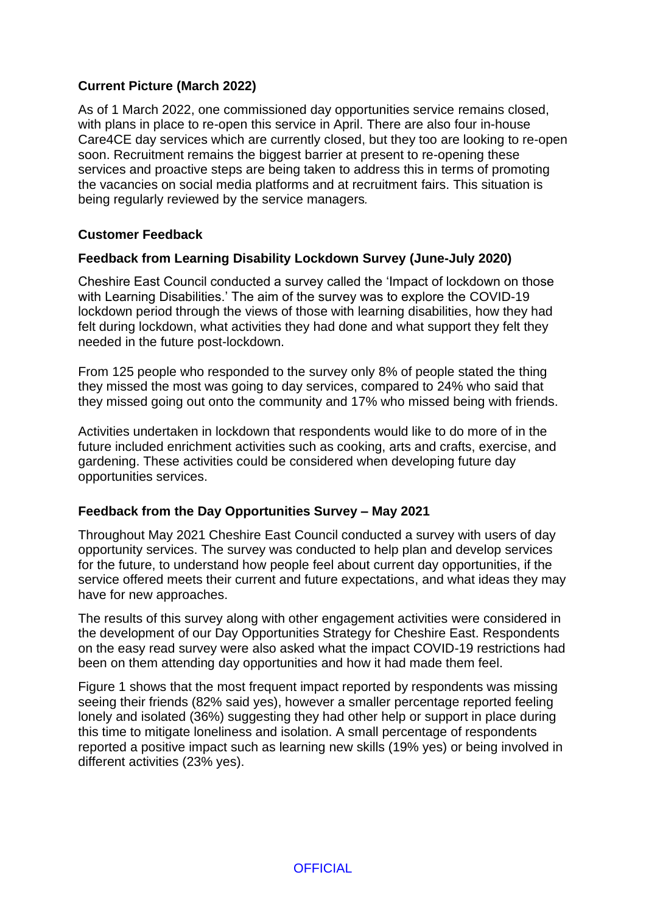## **Current Picture (March 2022)**

As of 1 March 2022, one commissioned day opportunities service remains closed, with plans in place to re-open this service in April. There are also four in-house Care4CE day services which are currently closed, but they too are looking to re-open soon. Recruitment remains the biggest barrier at present to re-opening these services and proactive steps are being taken to address this in terms of promoting the vacancies on social media platforms and at recruitment fairs. This situation is being regularly reviewed by the service managers*.*

#### **Customer Feedback**

#### **Feedback from Learning Disability Lockdown Survey (June-July 2020)**

Cheshire East Council conducted a survey called the 'Impact of lockdown on those with Learning Disabilities.' The aim of the survey was to explore the COVID-19 lockdown period through the views of those with learning disabilities, how they had felt during lockdown, what activities they had done and what support they felt they needed in the future post-lockdown.

From 125 people who responded to the survey only 8% of people stated the thing they missed the most was going to day services, compared to 24% who said that they missed going out onto the community and 17% who missed being with friends.

Activities undertaken in lockdown that respondents would like to do more of in the future included enrichment activities such as cooking, arts and crafts, exercise, and gardening. These activities could be considered when developing future day opportunities services.

#### **Feedback from the Day Opportunities Survey – May 2021**

Throughout May 2021 Cheshire East Council conducted a survey with users of day opportunity services. The survey was conducted to help plan and develop services for the future, to understand how people feel about current day opportunities, if the service offered meets their current and future expectations, and what ideas they may have for new approaches.

The results of this survey along with other engagement activities were considered in the development of our Day Opportunities Strategy for Cheshire East. Respondents on the easy read survey were also asked what the impact COVID-19 restrictions had been on them attending day opportunities and how it had made them feel.

Figure 1 shows that the most frequent impact reported by respondents was missing seeing their friends (82% said yes), however a smaller percentage reported feeling lonely and isolated (36%) suggesting they had other help or support in place during this time to mitigate loneliness and isolation. A small percentage of respondents reported a positive impact such as learning new skills (19% yes) or being involved in different activities (23% yes).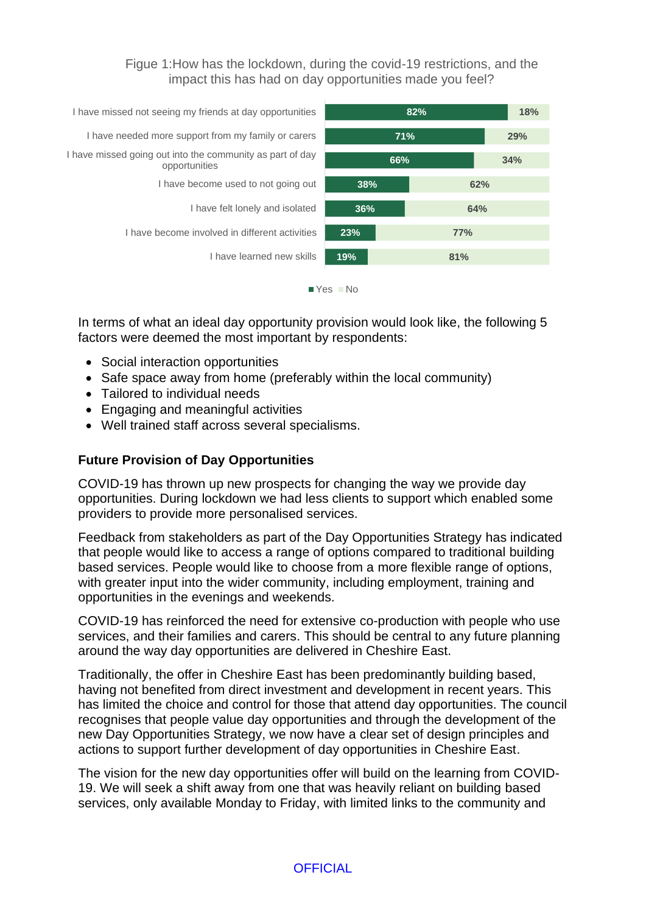Figue 1:How has the lockdown, during the covid-19 restrictions, and the impact this has had on day opportunities made you feel?



In terms of what an ideal day opportunity provision would look like, the following 5 factors were deemed the most important by respondents:

- Social interaction opportunities
- Safe space away from home (preferably within the local community)
- Tailored to individual needs
- Engaging and meaningful activities
- Well trained staff across several specialisms.

#### **Future Provision of Day Opportunities**

COVID-19 has thrown up new prospects for changing the way we provide day opportunities. During lockdown we had less clients to support which enabled some providers to provide more personalised services.

Feedback from stakeholders as part of the Day Opportunities Strategy has indicated that people would like to access a range of options compared to traditional building based services. People would like to choose from a more flexible range of options, with greater input into the wider community, including employment, training and opportunities in the evenings and weekends.

COVID-19 has reinforced the need for extensive co-production with people who use services, and their families and carers. This should be central to any future planning around the way day opportunities are delivered in Cheshire East.

Traditionally, the offer in Cheshire East has been predominantly building based, having not benefited from direct investment and development in recent years. This has limited the choice and control for those that attend day opportunities. The council recognises that people value day opportunities and through the development of the new Day Opportunities Strategy, we now have a clear set of design principles and actions to support further development of day opportunities in Cheshire East.

The vision for the new day opportunities offer will build on the learning from COVID-19. We will seek a shift away from one that was heavily reliant on building based services, only available Monday to Friday, with limited links to the community and

**OFFICIAL**